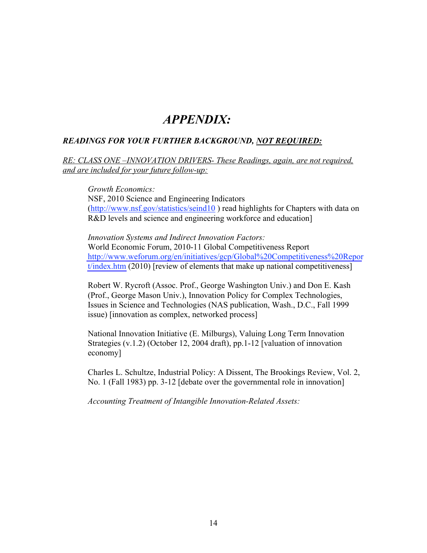# *APPENDIX:*

# *READINGS FOR YOUR FURTHER BACKGROUND, NOT REQUIRED:*

*RE: CLASS ONE –INNOVATION DRIVERS- These Readings, again, are not required, and are included for your future follow-up:* 

*Growth Economics:* 

NSF, 2010 Science and Engineering Indicators (http://www.nsf.gov/statistics/seind10) read highlights for Chapters with data on R&D levels and science and engineering workforce and education]

*Innovation Systems and Indirect Innovation Factors:*  World Economic Forum, 2010-11 Global Competitiveness Report http://www.weforum.org/en/initiatives/gcp/Global%20Competitiveness%20Repor  $t/index.htm (2010)$  $t/index.htm (2010)$  [review of elements that make up national competitiveness]

Robert W. Rycroft (Assoc. Prof., George Washington Univ.) and Don E. Kash (Prof., George Mason Univ.), Innovation Policy for Complex Technologies, Issues in Science and Technologies (NAS publication, Wash., D.C., Fall 1999 issue) [innovation as complex, networked process]

National Innovation Initiative (E. Milburgs), Valuing Long Term Innovation Strategies (v.1.2) (October 12, 2004 draft), pp.1-12 [valuation of innovation economy]

Charles L. Schultze, Industrial Policy: A Dissent, The Brookings Review, Vol. 2, No. 1 (Fall 1983) pp. 3-12 [debate over the governmental role in innovation]

*Accounting Treatment of Intangible Innovation-Related Assets:*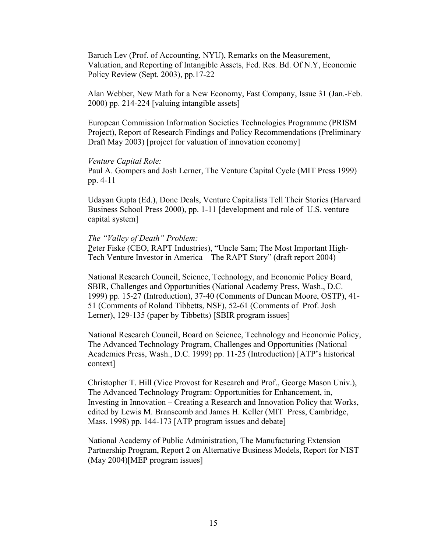Baruch Lev (Prof. of Accounting, NYU), Remarks on the Measurement, Valuation, and Reporting of Intangible Assets, Fed. Res. Bd. Of N.Y, Economic Policy Review (Sept. 2003), pp.17-22

Alan Webber, New Math for a New Economy, Fast Company, Issue 31 (Jan.-Feb. 2000) pp. 214-224 [valuing intangible assets]

European Commission Information Societies Technologies Programme (PRISM Project), Report of Research Findings and Policy Recommendations (Preliminary Draft May 2003) [project for valuation of innovation economy]

## *Venture Capital Role:*

Paul A. Gompers and Josh Lerner, The Venture Capital Cycle (MIT Press 1999) pp. 4-11

Udayan Gupta (Ed.), Done Deals, Venture Capitalists Tell Their Stories (Harvard Business School Press 2000), pp. 1-11 [development and role of U.S. venture capital system]

## *The "Valley of Death" Problem:*

Peter Fiske (CEO, RAPT Industries), "Uncle Sam; The Most Important High-Tech Venture Investor in America – The RAPT Story" (draft report 2004)

National Research Council, Science, Technology, and Economic Policy Board, SBIR, Challenges and Opportunities (National Academy Press, Wash., D.C. 1999) pp. 15-27 (Introduction), 37-40 (Comments of Duncan Moore, OSTP), 41- 51 (Comments of Roland Tibbetts, NSF), 52-61 (Comments of Prof. Josh Lerner), 129-135 (paper by Tibbetts) [SBIR program issues]

National Research Council, Board on Science, Technology and Economic Policy, The Advanced Technology Program, Challenges and Opportunities (National Academies Press, Wash., D.C. 1999) pp. 11-25 (Introduction) [ATP's historical context]

Christopher T. Hill (Vice Provost for Research and Prof., George Mason Univ.), The Advanced Technology Program: Opportunities for Enhancement, in, Investing in Innovation – Creating a Research and Innovation Policy that Works, edited by Lewis M. Branscomb and James H. Keller (MIT Press, Cambridge, Mass. 1998) pp. 144-173 [ATP program issues and debate]

National Academy of Public Administration, The Manufacturing Extension Partnership Program, Report 2 on Alternative Business Models, Report for NIST (May 2004)[MEP program issues]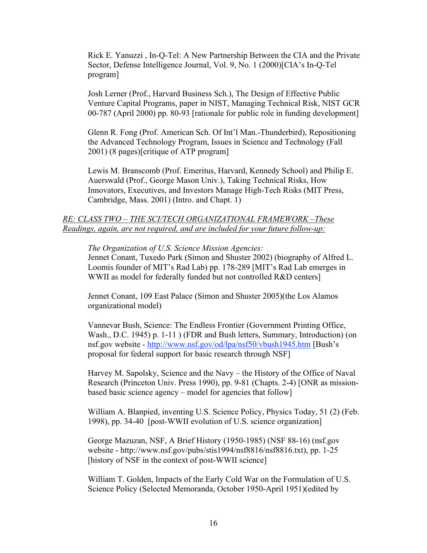Rick E. Yanuzzi , In-Q-Tel: A New Partnership Between the CIA and the Private Sector, Defense Intelligence Journal, Vol. 9, No. 1 (2000)[CIA's In-Q-Tel program]

Josh Lerner (Prof., Harvard Business Sch.), The Design of Effective Public Venture Capital Programs, paper in NIST, Managing Technical Risk, NIST GCR 00-787 (April 2000) pp. 80-93 [rationale for public role in funding development]

Glenn R. Fong (Prof. American Sch. Of Int'l Man.-Thunderbird), Repositioning the Advanced Technology Program, Issues in Science and Technology (Fall 2001) (8 pages)[critique of ATP program]

Lewis M. Branscomb (Prof. Emeritus, Harvard, Kennedy School) and Philip E. Auerswald (Prof., George Mason Univ.), Taking Technical Risks, How Innovators, Executives, and Investors Manage High-Tech Risks (MIT Press, Cambridge, Mass. 2001) (Intro. and Chapt. 1)

# *RE: CLASS TWO – THE SCI/TECH ORGANIZATIONAL FRAMEWORK –These Readings, again, are not required, and are included for your future follow-up:*

*The Organization of U.S. Science Mission Agencies:* 

Jennet Conant, Tuxedo Park (Simon and Shuster 2002) (biography of Alfred L. Loomis founder of MIT's Rad Lab) pp. 178-289 [MIT's Rad Lab emerges in WWII as model for federally funded but not controlled R&D centers]

Jennet Conant, 109 East Palace (Simon and Shuster 2005)(the Los Alamos organizational model)

Vannevar Bush, Science: The Endless Frontier (Government Printing Office, Wash., D.C. 1945) p. 1-11 ) (FDR and Bush letters, Summary, Introduction) (on nsf.gov website - http://www.nsf.gov/od/lpa/nsf50/vbush1945.htm [Bush's proposal for federal support for basic research through NSF]

Harvey M. Sapolsky, Science and the Navy – the History of the Office of Naval Research (Princeton Univ. Press 1990), pp. 9-81 (Chapts. 2-4) [ONR as missionbased basic science agency – model for agencies that follow]

William A. Blanpied, inventing U.S. Science Policy, Physics Today, 51 (2) (Feb. 1998), pp. 34-40 [post-WWII evolution of U.S. science organization]

George Mazuzan, NSF, A Brief History (1950-1985) (NSF 88-16) (nsf.gov website - http://www.nsf.gov/pubs/stis1994/nsf8816/nsf8816.txt), pp. 1-25 [history of NSF in the context of post-WWII science]

William T. Golden, Impacts of the Early Cold War on the Formulation of U.S. Science Policy (Selected Memoranda, October 1950-April 1951)(edited by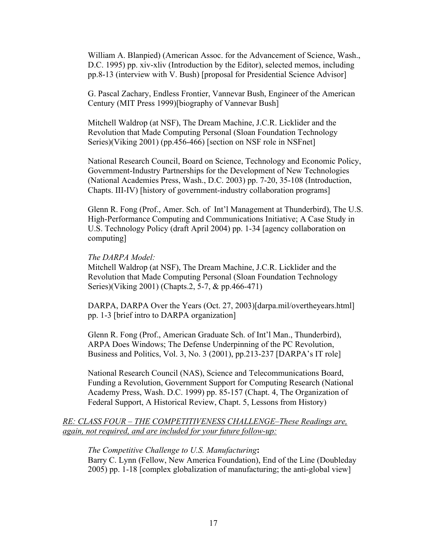William A. Blanpied) (American Assoc. for the Advancement of Science, Wash., D.C. 1995) pp. xiv-xliv (Introduction by the Editor), selected memos, including pp.8-13 (interview with V. Bush) [proposal for Presidential Science Advisor]

G. Pascal Zachary, Endless Frontier, Vannevar Bush, Engineer of the American Century (MIT Press 1999)[biography of Vannevar Bush]

Mitchell Waldrop (at NSF), The Dream Machine, J.C.R. Licklider and the Revolution that Made Computing Personal (Sloan Foundation Technology Series)(Viking 2001) (pp.456-466) [section on NSF role in NSFnet]

National Research Council, Board on Science, Technology and Economic Policy, Government-Industry Partnerships for the Development of New Technologies (National Academies Press, Wash., D.C. 2003) pp. 7-20, 35-108 (Introduction, Chapts. III-IV) [history of government-industry collaboration programs]

Glenn R. Fong (Prof., Amer. Sch. of Int'l Management at Thunderbird), The U.S. High-Performance Computing and Communications Initiative; A Case Study in U.S. Technology Policy (draft April 2004) pp. 1-34 [agency collaboration on computing]

## *The DARPA Model:*

Mitchell Waldrop (at NSF), The Dream Machine, J.C.R. Licklider and the Revolution that Made Computing Personal (Sloan Foundation Technology Series)(Viking 2001) (Chapts.2, 5-7, & pp.466-471)

DARPA, DARPA Over the Years (Oct. 27, 2003)[darpa.mil/overtheyears.html] pp. 1-3 [brief intro to DARPA organization]

Glenn R. Fong (Prof., American Graduate Sch. of Int'l Man., Thunderbird), ARPA Does Windows; The Defense Underpinning of the PC Revolution, Business and Politics, Vol. 3, No. 3 (2001), pp.213-237 [DARPA's IT role]

National Research Council (NAS), Science and Telecommunications Board, Funding a Revolution, Government Support for Computing Research (National Academy Press, Wash. D.C. 1999) pp. 85-157 (Chapt. 4, The Organization of Federal Support, A Historical Review, Chapt. 5, Lessons from History)

*RE: CLASS FOUR – THE COMPETITIVENESS CHALLENGE–These Readings are, again, not required, and are included for your future follow-up:* 

## *The Competitive Challenge to U.S. Manufacturing***:**

Barry C. Lynn (Fellow, New America Foundation), End of the Line (Doubleday 2005) pp. 1-18 [complex globalization of manufacturing; the anti-global view]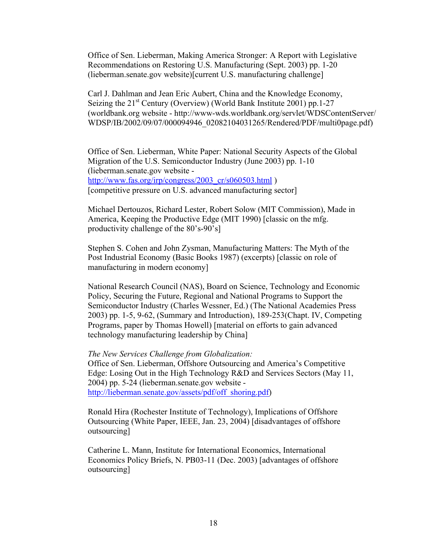Office of Sen. Lieberman, Making America Stronger: A Report with Legislative Recommendations on Restoring U.S. Manufacturing (Sept. 2003) pp. 1-20 (lieberman.senate.gov website)[current U.S. manufacturing challenge]

Carl J. Dahlman and Jean Eric Aubert, China and the Knowledge Economy, Seizing the 21<sup>st</sup> Century (Overview) (World Bank Institute 2001) pp.1-27 (worldbank.org website - http://www-wds.worldbank.org/servlet/WDSContentServer/ WDSP/IB/2002/09/07/000094946\_02082104031265/Rendered/PDF/multi0page.pdf)

Office of Sen. Lieberman, White Paper: National Security Aspects of the Global Migration of the U.S. Semiconductor Industry (June 2003) pp. 1-10 (lieberman.senate.gov website http://www.fas.org/irp/congress/2003\_cr/s060503.html )

[competitive pressure on U.S. advanced manufacturing sector]

Michael Dertouzos, Richard Lester, Robert Solow (MIT Commission), Made in America, Keeping the Productive Edge (MIT 1990) [classic on the mfg. productivity challenge of the 80's-90's]

Stephen S. Cohen and John Zysman, Manufacturing Matters: The Myth of the Post Industrial Economy (Basic Books 1987) (excerpts) [classic on role of manufacturing in modern economy]

National Research Council (NAS), Board on Science, Technology and Economic Policy, Securing the Future, Regional and National Programs to Support the Semiconductor Industry (Charles Wessner, Ed.) (The National Academies Press 2003) pp. 1-5, 9-62, (Summary and Introduction), 189-253(Chapt. IV, Competing Programs, paper by Thomas Howell) [material on efforts to gain advanced technology manufacturing leadership by China]

## *The New Services Challenge from Globalization:*

Office of Sen. Lieberman, Offshore Outsourcing and America's Competitive Edge: Losing Out in the High Technology R&D and Services Sectors (May 11, 2004) pp. 5-24 (lieberman.senate.gov website http://lieberman.senate.gov/assets/pdf/off\_shoring.pdf)

Ronald Hira (Rochester Institute of Technology), Implications of Offshore Outsourcing (White Paper, IEEE, Jan. 23, 2004) [disadvantages of offshore outsourcing]

Catherine L. Mann, Institute for International Economics, International Economics Policy Briefs, N. PB03-11 (Dec. 2003) [advantages of offshore outsourcing]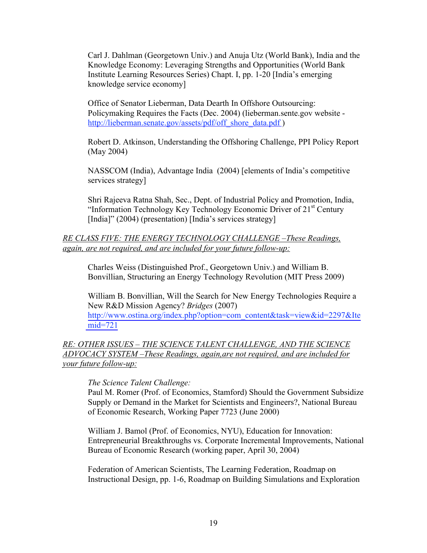Carl J. Dahlman (Georgetown Univ.) and Anuja Utz (World Bank), India and the Knowledge Economy: Leveraging Strengths and Opportunities (World Bank Institute Learning Resources Series) Chapt. I, pp. 1-20 [India's emerging knowledge service economy]

Office of Senator Lieberman, Data Dearth In Offshore Outsourcing: Policymaking Requires the Facts (Dec. 2004) (lieberman.sente.gov website http://lieberman.senate.gov/assets/pdf/off\_shore\_data.pdf )

Robert D. Atkinson, Understanding the Offshoring Challenge, PPI Policy Report (May 2004)

NASSCOM (India), Advantage India (2004) [elements of India's competitive services strategy]

Shri Rajeeva Ratna Shah, Sec., Dept. of Industrial Policy and Promotion, India, "Information Technology Key Technology Economic Driver of 21<sup>st</sup> Century [India]" (2004) (presentation) [India's services strategy]

# *RE CLASS FIVE: THE ENERGY TECHNOLOGY CHALLENGE –These Readings, again, are not required, and are included for your future follow-up:*

Charles Weiss (Distinguished Prof., Georgetown Univ.) and William B. Bonvillian, Structuring an Energy Technology Revolution (MIT Press 2009)

William B. Bonvillian, Will the Search for New Energy Technologies Require a New R&D Mission Agency? *Bridges* (2007) http://www.ostina.org/index.php?option=com\_content&task=view&id=2297&Ite [mid=721](http://www.ostina.org/index.php?option=com_content&task=view&id=2297&Ite mid=721)

*RE: OTHER ISSUES – THE SCIENCE TALENT CHALLENGE, AND THE SCIENCE ADVOCACY SYSTEM –These Readings, again,are not required, and are included for your future follow-up:* 

# *The Science Talent Challenge:*

Paul M. Romer (Prof. of Economics, Stamford) Should the Government Subsidize Supply or Demand in the Market for Scientists and Engineers?, National Bureau of Economic Research, Working Paper 7723 (June 2000)

William J. Bamol (Prof. of Economics, NYU), Education for Innovation: Entrepreneurial Breakthroughs vs. Corporate Incremental Improvements, National Bureau of Economic Research (working paper, April 30, 2004)

Federation of American Scientists, The Learning Federation, Roadmap on Instructional Design, pp. 1-6, Roadmap on Building Simulations and Exploration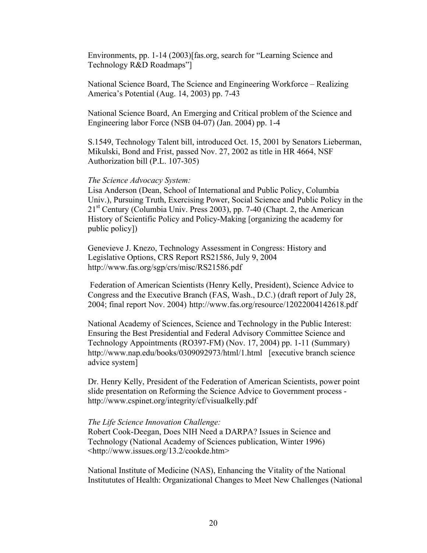Environments, pp. 1-14 (2003)[fas.org, search for "Learning Science and Technology R&D Roadmaps"]

National Science Board, The Science and Engineering Workforce – Realizing America's Potential (Aug. 14, 2003) pp. 7-43

National Science Board, An Emerging and Critical problem of the Science and Engineering labor Force (NSB 04-07) (Jan. 2004) pp. 1-4

S.1549, Technology Talent bill, introduced Oct. 15, 2001 by Senators Lieberman, Mikulski, Bond and Frist, passed Nov. 27, 2002 as title in HR 4664, NSF Authorization bill (P.L. 107-305)

## *The Science Advocacy System:*

Lisa Anderson (Dean, School of International and Public Policy, Columbia Univ.), Pursuing Truth, Exercising Power, Social Science and Public Policy in the  $21<sup>st</sup>$  Century (Columbia Univ. Press 2003), pp. 7-40 (Chapt. 2, the American History of Scientific Policy and Policy-Making [organizing the academy for public policy])

Genevieve J. Knezo, Technology Assessment in Congress: History and Legislative Options, CRS Report RS21586, July 9, 2004 http://www.fas.org/sgp/crs/misc/RS21586.pdf

 Federation of American Scientists (Henry Kelly, President), Science Advice to Congress and the Executive Branch (FAS, Wash., D.C.) (draft report of July 28, 2004; final report Nov. 2004) http://www.fas.org/resource/12022004142618.pdf

National Academy of Sciences, Science and Technology in the Public Interest: Ensuring the Best Presidential and Federal Advisory Committee Science and Technology Appointments (RO397-FM) (Nov. 17, 2004) pp. 1-11 (Summary) http://www.nap.edu/books/0309092973/html/1.html [executive branch science advice system]

Dr. Henry Kelly, President of the Federation of American Scientists, power point slide presentation on Reforming the Science Advice to Government process http://www.cspinet.org/integrity/cf/visualkelly.pdf

## *The Life Science Innovation Challenge:*

Robert Cook-Deegan, Does NIH Need a DARPA? Issues in Science and Technology (National Academy of Sciences publication, Winter 1996) <http://www.issues.org/13.2/cookde.htm>

National Institute of Medicine (NAS), Enhancing the Vitality of the National Institututes of Health: Organizational Changes to Meet New Challenges (National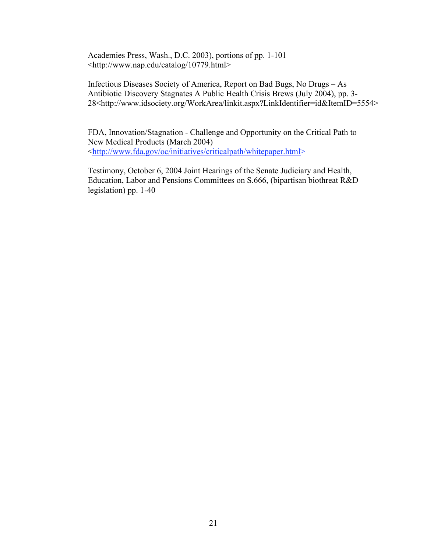Academies Press, Wash., D.C. 2003), portions of pp. 1-101 <http://www.nap.edu/catalog/10779.html>

Infectious Diseases Society of America, Report on Bad Bugs, No Drugs – As Antibiotic Discovery Stagnates A Public Health Crisis Brews (July 2004), pp. 3- 28<http://www.idsociety.org/WorkArea/linkit.aspx?LinkIdentifier=id&ItemID=5554>

FDA, Innovation/Stagnation - Challenge and Opportunity on the Critical Path to New Medical Products (March 2004) <http://www.fda.gov/oc/initiatives/criticalpath/whitepaper.html>

Testimony, October 6, 2004 Joint Hearings of the Senate Judiciary and Health, Education, Labor and Pensions Committees on S.666, (bipartisan biothreat R&D legislation) pp. 1-40